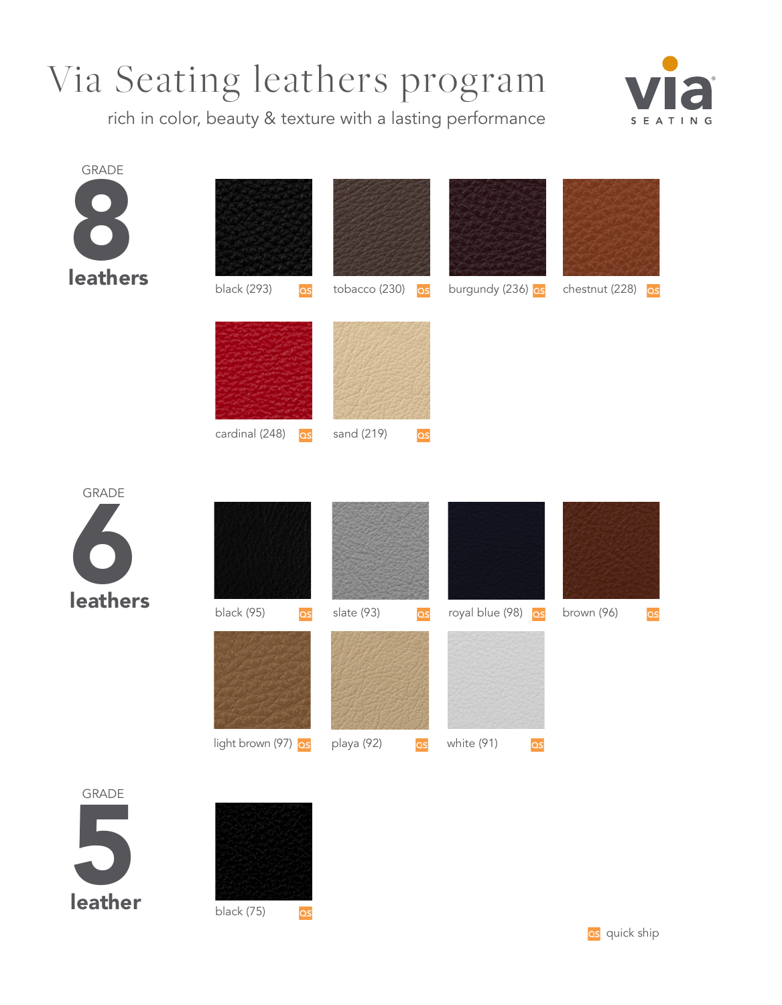## Via Seating leathers program

rich in color, beauty & texture with a lasting performance